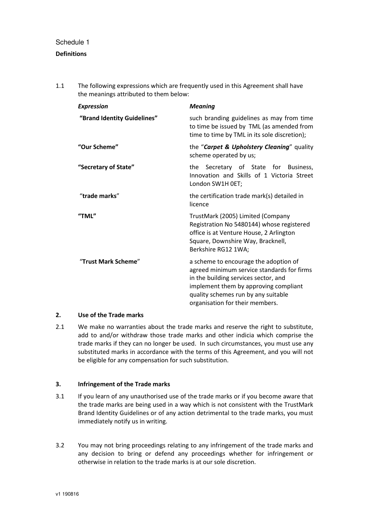## Schedule 1

# **Definitions**

1.1 The following expressions which are frequently used in this Agreement shall have the meanings attributed to them below:

| <b>Expression</b>           | <b>Meaning</b>                                                                                                                                                                                                                                 |  |  |
|-----------------------------|------------------------------------------------------------------------------------------------------------------------------------------------------------------------------------------------------------------------------------------------|--|--|
| "Brand Identity Guidelines" | such branding guidelines as may from time<br>to time be issued by TML (as amended from<br>time to time by TML in its sole discretion);                                                                                                         |  |  |
| "Our Scheme"                | the "Carpet & Upholstery Cleaning" quality<br>scheme operated by us;                                                                                                                                                                           |  |  |
| "Secretary of State"        | the Secretary of State for Business,<br>Innovation and Skills of 1 Victoria Street<br>London SW1H OET;                                                                                                                                         |  |  |
| "trade marks"               | the certification trade mark(s) detailed in<br>licence                                                                                                                                                                                         |  |  |
| "TML"                       | TrustMark (2005) Limited (Company<br>Registration No 5480144) whose registered<br>office is at Venture House, 2 Arlington<br>Square, Downshire Way, Bracknell,<br>Berkshire RG12 1WA;                                                          |  |  |
| "Trust Mark Scheme"         | a scheme to encourage the adoption of<br>agreed minimum service standards for firms<br>in the building services sector, and<br>implement them by approving compliant<br>quality schemes run by any suitable<br>organisation for their members. |  |  |

# **2. Use of the Trade marks**

2.1 We make no warranties about the trade marks and reserve the right to substitute, add to and/or withdraw those trade marks and other indicia which comprise the trade marks if they can no longer be used. In such circumstances, you must use any substituted marks in accordance with the terms of this Agreement, and you will not be eligible for any compensation for such substitution.

# **3. Infringement of the Trade marks**

- 3.1 If you learn of any unauthorised use of the trade marks or if you become aware that the trade marks are being used in a way which is not consistent with the TrustMark Brand Identity Guidelines or of any action detrimental to the trade marks, you must immediately notify us in writing.
- 3.2 You may not bring proceedings relating to any infringement of the trade marks and any decision to bring or defend any proceedings whether for infringement or otherwise in relation to the trade marks is at our sole discretion.